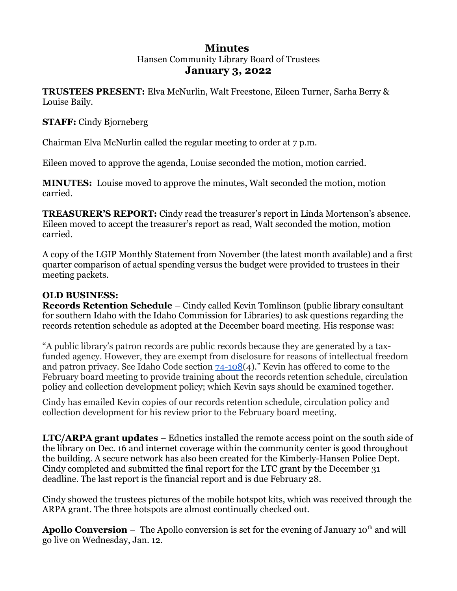# **Minutes**  Hansen Community Library Board of Trustees **January 3, 2022**

**TRUSTEES PRESENT:** Elva McNurlin, Walt Freestone, Eileen Turner, Sarha Berry & Louise Baily.

## **STAFF:** Cindy Bjorneberg

Chairman Elva McNurlin called the regular meeting to order at 7 p.m.

Eileen moved to approve the agenda, Louise seconded the motion, motion carried.

**MINUTES:** Louise moved to approve the minutes, Walt seconded the motion, motion carried.

**TREASURER'S REPORT:** Cindy read the treasurer's report in Linda Mortenson's absence. Eileen moved to accept the treasurer's report as read, Walt seconded the motion, motion carried.

A copy of the LGIP Monthly Statement from November (the latest month available) and a first quarter comparison of actual spending versus the budget were provided to trustees in their meeting packets.

# **OLD BUSINESS:**

**Records Retention Schedule** – Cindy called Kevin Tomlinson (public library consultant for southern Idaho with the Idaho Commission for Libraries) to ask questions regarding the records retention schedule as adopted at the December board meeting. His response was:

"A public library's patron records are public records because they are generated by a taxfunded agency. However, they are exempt from disclosure for reasons of intellectual freedom and patron privacy. See Idaho Code section  $74$ -108(4)." Kevin has offered to come to the February board meeting to provide training about the records retention schedule, circulation policy and collection development policy; which Kevin says should be examined together.

Cindy has emailed Kevin copies of our records retention schedule, circulation policy and collection development for his review prior to the February board meeting.

**LTC/ARPA grant updates** – Ednetics installed the remote access point on the south side of the library on Dec. 16 and internet coverage within the community center is good throughout the building. A secure network has also been created for the Kimberly-Hansen Police Dept. Cindy completed and submitted the final report for the LTC grant by the December 31 deadline. The last report is the financial report and is due February 28.

Cindy showed the trustees pictures of the mobile hotspot kits, which was received through the ARPA grant. The three hotspots are almost continually checked out.

**Apollo Conversion** – The Apollo conversion is set for the evening of January 10<sup>th</sup> and will go live on Wednesday, Jan. 12.